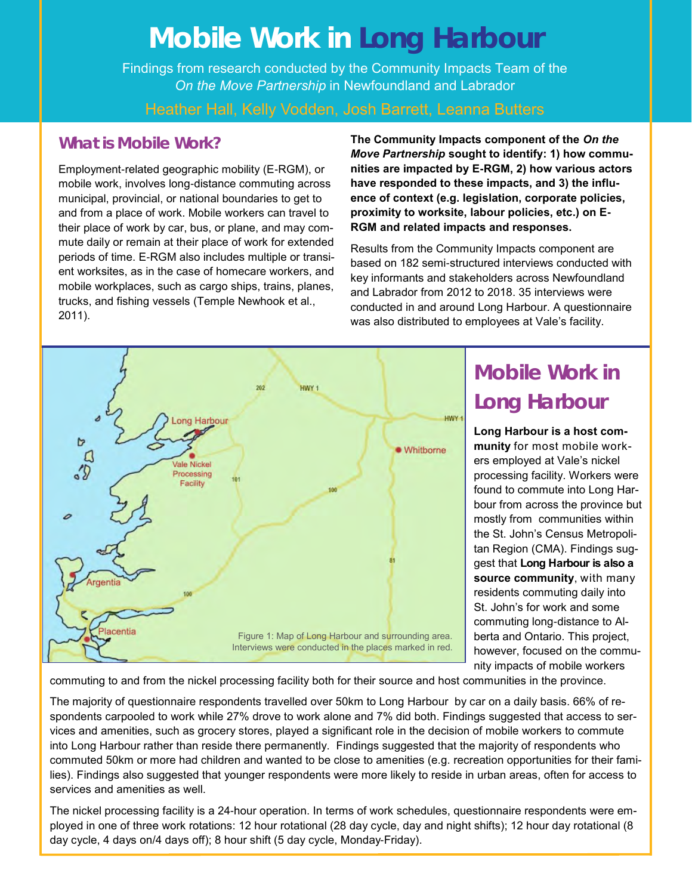# **Mobile Work in Long Harbour**

Findings from research conducted by the Community Impacts Team of the *On the Move Partnership* in Newfoundland and Labrador

#### Heather Hall, Kelly Vodden, Josh Barrett, Leanna Butters

#### **What is Mobile Work?**

Employment-related geographic mobility (E-RGM), or mobile work, involves long-distance commuting across municipal, provincial, or national boundaries to get to and from a place of work. Mobile workers can travel to their place of work by car, bus, or plane, and may commute daily or remain at their place of work for extended periods of time. E-RGM also includes multiple or transient worksites, as in the case of homecare workers, and mobile workplaces, such as cargo ships, trains, planes, trucks, and fishing vessels (Temple Newhook et al., 2011).

**The Community Impacts component of the** *On the Move Partnership* **sought to identify: 1) how communities are impacted by E-RGM, 2) how various actors have responded to these impacts, and 3) the influence of context (e.g. legislation, corporate policies, proximity to worksite, labour policies, etc.) on E-RGM and related impacts and responses.**

Results from the Community Impacts component are based on 182 semi-structured interviews conducted with key informants and stakeholders across Newfoundland and Labrador from 2012 to 2018. 35 interviews were conducted in and around Long Harbour. A questionnaire was also distributed to employees at Vale's facility.



## **Mobile Work in Long Harbour**

**Long Harbour is a host community** for most mobile workers employed at Vale's nickel processing facility. Workers were found to commute into Long Harbour from across the province but mostly from communities within the St. John's Census Metropolitan Region (CMA). Findings suggest that **Long Harbour is also a source community**, with many residents commuting daily into St. John's for work and some commuting long-distance to Alberta and Ontario. This project, however, focused on the community impacts of mobile workers

commuting to and from the nickel processing facility both for their source and host communities in the province.

The majority of questionnaire respondents travelled over 50km to Long Harbour by car on a daily basis. 66% of respondents carpooled to work while 27% drove to work alone and 7% did both. Findings suggested that access to services and amenities, such as grocery stores, played a significant role in the decision of mobile workers to commute into Long Harbour rather than reside there permanently. Findings suggested that the majority of respondents who commuted 50km or more had children and wanted to be close to amenities (e.g. recreation opportunities for their families). Findings also suggested that younger respondents were more likely to reside in urban areas, often for access to services and amenities as well.

The nickel processing facility is a 24-hour operation. In terms of work schedules, questionnaire respondents were employed in one of three work rotations: 12 hour rotational (28 day cycle, day and night shifts); 12 hour day rotational (8 day cycle, 4 days on/4 days off); 8 hour shift (5 day cycle, Monday-Friday).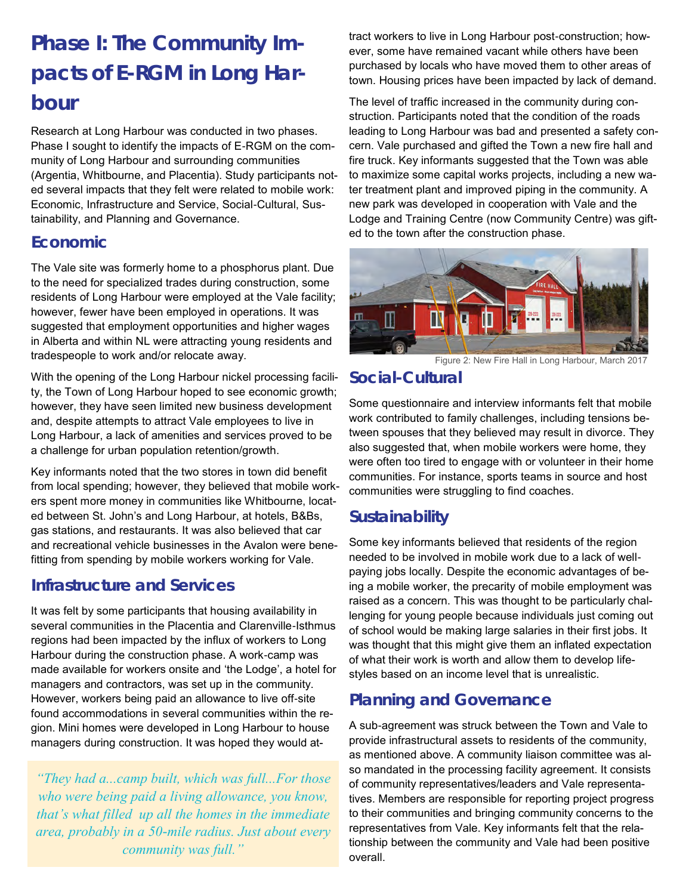## **Phase I: The Community Impacts of E-RGM in Long Harbour**

Research at Long Harbour was conducted in two phases. Phase I sought to identify the impacts of E-RGM on the community of Long Harbour and surrounding communities (Argentia, Whitbourne, and Placentia). Study participants noted several impacts that they felt were related to mobile work: Economic, Infrastructure and Service, Social-Cultural, Sustainability, and Planning and Governance.

#### **Economic**

The Vale site was formerly home to a phosphorus plant. Due to the need for specialized trades during construction, some residents of Long Harbour were employed at the Vale facility; however, fewer have been employed in operations. It was suggested that employment opportunities and higher wages in Alberta and within NL were attracting young residents and tradespeople to work and/or relocate away.

With the opening of the Long Harbour nickel processing facility, the Town of Long Harbour hoped to see economic growth; however, they have seen limited new business development and, despite attempts to attract Vale employees to live in Long Harbour, a lack of amenities and services proved to be a challenge for urban population retention/growth.

Key informants noted that the two stores in town did benefit from local spending; however, they believed that mobile workers spent more money in communities like Whitbourne, located between St. John's and Long Harbour, at hotels, B&Bs, gas stations, and restaurants. It was also believed that car and recreational vehicle businesses in the Avalon were benefitting from spending by mobile workers working for Vale.

#### **Infrastructure and Services**

It was felt by some participants that housing availability in several communities in the Placentia and Clarenville-Isthmus regions had been impacted by the influx of workers to Long Harbour during the construction phase. A work-camp was made available for workers onsite and 'the Lodge', a hotel for managers and contractors, was set up in the community. However, workers being paid an allowance to live off-site found accommodations in several communities within the region. Mini homes were developed in Long Harbour to house managers during construction. It was hoped they would at-

*"They had a...camp built, which was full...For those who were being paid a living allowance, you know, that's what filled up all the homes in the immediate area, probably in a 50-mile radius. Just about every community was full."*

tract workers to live in Long Harbour post-construction; however, some have remained vacant while others have been purchased by locals who have moved them to other areas of town. Housing prices have been impacted by lack of demand.

The level of traffic increased in the community during construction. Participants noted that the condition of the roads leading to Long Harbour was bad and presented a safety concern. Vale purchased and gifted the Town a new fire hall and fire truck. Key informants suggested that the Town was able to maximize some capital works projects, including a new water treatment plant and improved piping in the community. A new park was developed in cooperation with Vale and the Lodge and Training Centre (now Community Centre) was gifted to the town after the construction phase.



Figure 2: New Fire Hall in Long Harbour, March 2017

#### **Social-Cultural**

Some questionnaire and interview informants felt that mobile work contributed to family challenges, including tensions between spouses that they believed may result in divorce. They also suggested that, when mobile workers were home, they were often too tired to engage with or volunteer in their home communities. For instance, sports teams in source and host communities were struggling to find coaches.

### **Sustainability**

Some key informants believed that residents of the region needed to be involved in mobile work due to a lack of wellpaying jobs locally. Despite the economic advantages of being a mobile worker, the precarity of mobile employment was raised as a concern. This was thought to be particularly challenging for young people because individuals just coming out of school would be making large salaries in their first jobs. It was thought that this might give them an inflated expectation of what their work is worth and allow them to develop lifestyles based on an income level that is unrealistic.

### **Planning and Governance**

A sub-agreement was struck between the Town and Vale to provide infrastructural assets to residents of the community, as mentioned above. A community liaison committee was also mandated in the processing facility agreement. It consists of community representatives/leaders and Vale representatives. Members are responsible for reporting project progress to their communities and bringing community concerns to the representatives from Vale. Key informants felt that the relationship between the community and Vale had been positive overall.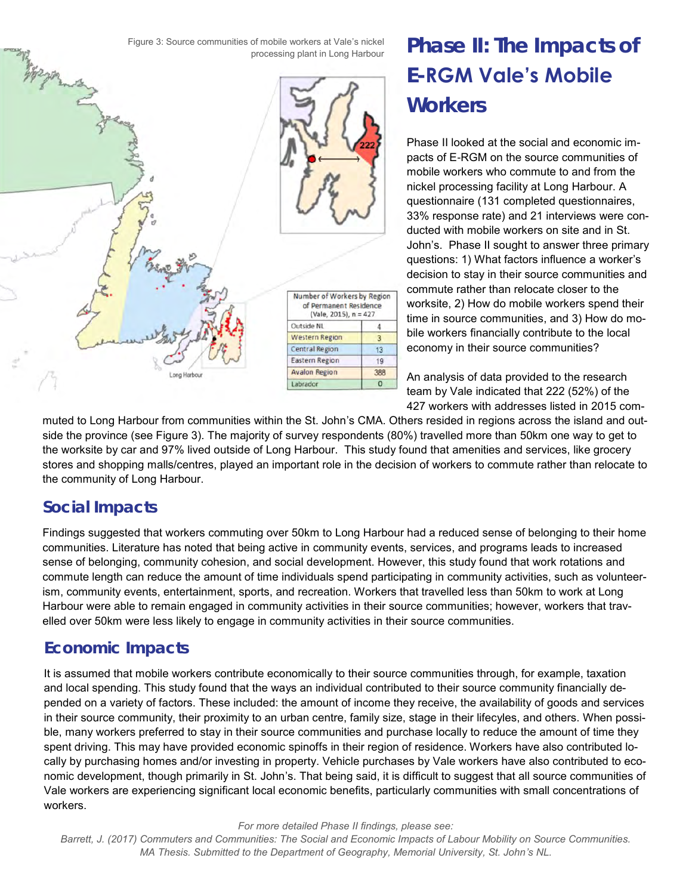Figure 3: Source communities of mobile workers at Vale's nickel processing plant in Long Harbour



## **Phase II: The Impacts of E-RGM Vale's Mobile Workers**

Phase II looked at the social and economic impacts of E-RGM on the source communities of mobile workers who commute to and from the nickel processing facility at Long Harbour. A questionnaire (131 completed questionnaires, 33% response rate) and 21 interviews were conducted with mobile workers on site and in St. John's. Phase II sought to answer three primary questions: 1) What factors influence a worker's decision to stay in their source communities and commute rather than relocate closer to the worksite, 2) How do mobile workers spend their time in source communities, and 3) How do mobile workers financially contribute to the local economy in their source communities?

An analysis of data provided to the research team by Vale indicated that 222 (52%) of the 427 workers with addresses listed in 2015 com-

muted to Long Harbour from communities within the St. John's CMA. Others resided in regions across the island and outside the province (see Figure 3). The majority of survey respondents (80%) travelled more than 50km one way to get to the worksite by car and 97% lived outside of Long Harbour. This study found that amenities and services, like grocery stores and shopping malls/centres, played an important role in the decision of workers to commute rather than relocate to the community of Long Harbour.

### **Social Impacts**

Findings suggested that workers commuting over 50km to Long Harbour had a reduced sense of belonging to their home communities. Literature has noted that being active in community events, services, and programs leads to increased sense of belonging, community cohesion, and social development. However, this study found that work rotations and commute length can reduce the amount of time individuals spend participating in community activities, such as volunteerism, community events, entertainment, sports, and recreation. Workers that travelled less than 50km to work at Long Harbour were able to remain engaged in community activities in their source communities; however, workers that travelled over 50km were less likely to engage in community activities in their source communities.

### **Economic Impacts**

It is assumed that mobile workers contribute economically to their source communities through, for example, taxation and local spending. This study found that the ways an individual contributed to their source community financially depended on a variety of factors. These included: the amount of income they receive, the availability of goods and services in their source community, their proximity to an urban centre, family size, stage in their lifecyles, and others. When possible, many workers preferred to stay in their source communities and purchase locally to reduce the amount of time they spent driving. This may have provided economic spinoffs in their region of residence. Workers have also contributed locally by purchasing homes and/or investing in property. Vehicle purchases by Vale workers have also contributed to economic development, though primarily in St. John's. That being said, it is difficult to suggest that all source communities of Vale workers are experiencing significant local economic benefits, particularly communities with small concentrations of workers.

*For more detailed Phase II findings, please see:* 

*Barrett, J. (2017) Commuters and Communities: The Social and Economic Impacts of Labour Mobility on Source Communities. MA Thesis. Submitted to the Department of Geography, Memorial University, St. John's NL.*